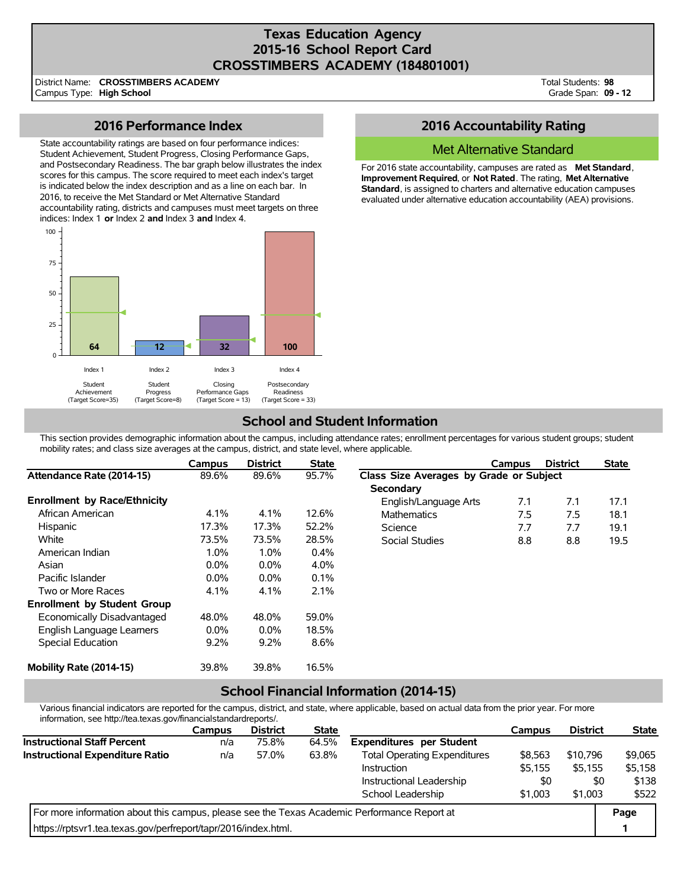# **Texas Education Agency 2015-16 School Report Card CROSSTIMBERS ACADEMY (184801001)**

District Name: Campus Type: **High School CROSSTIMBERS ACADEMY** Total Students: **98** Grade Span: **09 - 12**

## **2016 Performance Index**

State accountability ratings are based on four performance indices: Student Achievement, Student Progress, Closing Performance Gaps, and Postsecondary Readiness. The bar graph below illustrates the index scores for this campus. The score required to meet each index's target is indicated below the index description and as a line on each bar. In 2016, to receive the Met Standard or Met Alternative Standard accountability rating, districts and campuses must meet targets on three indices: Index 1 **or** Index 2 **and** Index 3 **and** Index 4.



# **2016 Accountability Rating**

## Met Alternative Standard

For 2016 state accountability, campuses are rated as **Met Standard**, **Improvement Required**, or **Not Rated**. The rating, **Met Alternative Standard**, is assigned to charters and alternative education campuses evaluated under alternative education accountability (AEA) provisions.

# **School and Student Information**

This section provides demographic information about the campus, including attendance rates; enrollment percentages for various student groups; student mobility rates; and class size averages at the campus, district, and state level, where applicable.

|                                     | Campus  | <b>District</b> | <b>State</b> |                                         | Campus | <b>District</b> | <b>State</b> |  |
|-------------------------------------|---------|-----------------|--------------|-----------------------------------------|--------|-----------------|--------------|--|
| Attendance Rate (2014-15)           | 89.6%   | 89.6%           | 95.7%        | Class Size Averages by Grade or Subject |        |                 |              |  |
|                                     |         |                 |              | <b>Secondary</b>                        |        |                 |              |  |
| <b>Enrollment by Race/Ethnicity</b> |         |                 |              | English/Language Arts                   | 7.1    | 7.1             | 17.1         |  |
| African American                    | 4.1%    | 4.1%            | 12.6%        | <b>Mathematics</b>                      | 7.5    | 7.5             | 18.1         |  |
| Hispanic                            | 17.3%   | 17.3%           | 52.2%        | Science                                 | 7.7    | 7.7             | 19.1         |  |
| White                               | 73.5%   | 73.5%           | 28.5%        | Social Studies                          | 8.8    | 8.8             | 19.5         |  |
| American Indian                     | 1.0%    | 1.0%            | 0.4%         |                                         |        |                 |              |  |
| Asian                               | 0.0%    | $0.0\%$         | 4.0%         |                                         |        |                 |              |  |
| Pacific Islander                    | 0.0%    | $0.0\%$         | 0.1%         |                                         |        |                 |              |  |
| Two or More Races                   | 4.1%    | 4.1%            | 2.1%         |                                         |        |                 |              |  |
| <b>Enrollment by Student Group</b>  |         |                 |              |                                         |        |                 |              |  |
| Economically Disadvantaged          | 48.0%   | 48.0%           | 59.0%        |                                         |        |                 |              |  |
| English Language Learners           | $0.0\%$ | $0.0\%$         | 18.5%        |                                         |        |                 |              |  |
| Special Education                   | 9.2%    | 9.2%            | 8.6%         |                                         |        |                 |              |  |
| Mobility Rate (2014-15)             | 39.8%   | 39.8%           | 16.5%        |                                         |        |                 |              |  |

## **School Financial Information (2014-15)**

Various financial indicators are reported for the campus, district, and state, where applicable, based on actual data from the prior year. For more information, see http://tea.texas.gov/financialstandardreports/.

|                                                                                             | Campus | <b>District</b> | <b>State</b> |                                     | Campus  | <b>District</b> | <b>State</b> |
|---------------------------------------------------------------------------------------------|--------|-----------------|--------------|-------------------------------------|---------|-----------------|--------------|
| <b>Instructional Staff Percent</b>                                                          | n/a    | 75.8%           | 64.5%        | <b>Expenditures per Student</b>     |         |                 |              |
| <b>Instructional Expenditure Ratio</b>                                                      | n/a    | 57.0%           | 63.8%        | <b>Total Operating Expenditures</b> | \$8,563 | \$10,796        | \$9,065      |
|                                                                                             |        |                 |              | Instruction                         | \$5,155 | \$5,155         | \$5,158      |
|                                                                                             |        |                 |              | Instructional Leadership            | \$0     | \$0             | \$138        |
|                                                                                             |        |                 |              | School Leadership                   | \$1,003 | \$1,003         | \$522        |
| For more information about this campus, please see the Texas Academic Performance Report at |        |                 |              |                                     |         |                 |              |
| https://rptsyr1.tea.texas.gov/perfreport/tapr/2016/index.html.                              |        |                 |              |                                     |         |                 |              |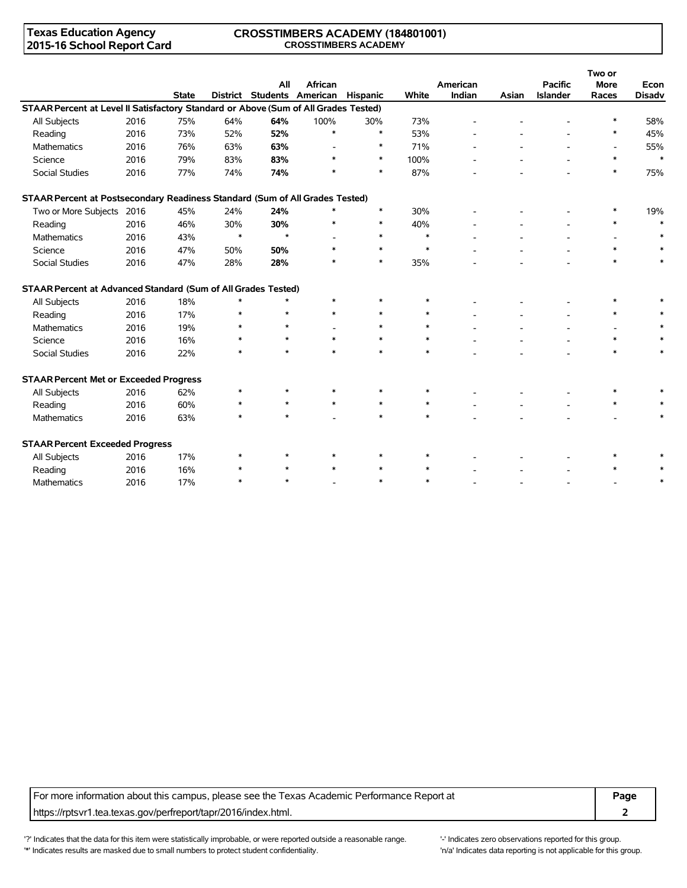## **Texas Education Agency 2015-16 School Report Card**

### **CROSSTIMBERS ACADEMY (184801001) CROSSTIMBERS ACADEMY**

|                                                                                     |      |              |        |         |                            |                 |        |          |       |                 | Two or      |               |
|-------------------------------------------------------------------------------------|------|--------------|--------|---------|----------------------------|-----------------|--------|----------|-------|-----------------|-------------|---------------|
|                                                                                     |      |              |        | All     | <b>African</b>             |                 |        | American |       | <b>Pacific</b>  | <b>More</b> | Econ          |
|                                                                                     |      | <b>State</b> |        |         | District Students American | <b>Hispanic</b> | White  | Indian   | Asian | <b>Islander</b> | Races       | <b>Disadv</b> |
| STAAR Percent at Level II Satisfactory Standard or Above (Sum of All Grades Tested) |      |              |        |         |                            |                 |        |          |       |                 |             |               |
| All Subjects                                                                        | 2016 | 75%          | 64%    | 64%     | 100%                       | 30%             | 73%    |          |       |                 |             | 58%           |
| Reading                                                                             | 2016 | 73%          | 52%    | 52%     | $\ast$                     | $\ast$          | 53%    |          |       |                 | $\ast$      | 45%           |
| <b>Mathematics</b>                                                                  | 2016 | 76%          | 63%    | 63%     |                            | $\ast$          | 71%    |          |       |                 |             | 55%           |
| Science                                                                             | 2016 | 79%          | 83%    | 83%     |                            | $\ast$          | 100%   |          |       |                 | $\ast$      | $\ast$        |
| <b>Social Studies</b>                                                               | 2016 | 77%          | 74%    | 74%     |                            | $\ast$          | 87%    |          |       |                 | $\ast$      | 75%           |
| STAAR Percent at Postsecondary Readiness Standard (Sum of All Grades Tested)        |      |              |        |         |                            |                 |        |          |       |                 |             |               |
| Two or More Subjects 2016                                                           |      | 45%          | 24%    | 24%     | $\ast$                     | $\ast$          | 30%    |          |       |                 |             | 19%           |
| Reading                                                                             | 2016 | 46%          | 30%    | 30%     | $\ast$                     | $\ast$          | 40%    |          |       |                 | $\ast$      | $\ast$        |
| <b>Mathematics</b>                                                                  | 2016 | 43%          | $\ast$ | $\star$ |                            | $\ast$          | $\ast$ |          |       |                 |             | $\ast$        |
| Science                                                                             | 2016 | 47%          | 50%    | 50%     | $\ast$                     | $\ast$          | $\ast$ |          |       |                 | $\ast$      | $\ast$        |
| Social Studies                                                                      | 2016 | 47%          | 28%    | 28%     | *                          | $\ast$          | 35%    |          |       |                 | $\ast$      | $\ast$        |
| STAAR Percent at Advanced Standard (Sum of All Grades Tested)                       |      |              |        |         |                            |                 |        |          |       |                 |             |               |
| All Subjects                                                                        | 2016 | 18%          | $\ast$ | $\star$ | $\ast$                     |                 | $\ast$ |          |       |                 |             |               |
| Reading                                                                             | 2016 | 17%          | $\ast$ | $\star$ | $\ast$                     | $\ast$          | $\ast$ |          |       |                 | $\ast$      |               |
| <b>Mathematics</b>                                                                  | 2016 | 19%          |        | $\star$ |                            | $\ast$          | $\ast$ |          |       |                 |             |               |
| Science                                                                             | 2016 | 16%          | *      | $\star$ |                            | $\ast$          | $\ast$ |          |       |                 | $\ast$      |               |
| Social Studies                                                                      | 2016 | 22%          | $\ast$ | $\star$ | $\ast$                     | $\ast$          | $\ast$ |          |       |                 | $\ast$      | $\ast$        |
| <b>STAAR Percent Met or Exceeded Progress</b>                                       |      |              |        |         |                            |                 |        |          |       |                 |             |               |
| All Subjects                                                                        | 2016 | 62%          | *      | $\star$ |                            |                 | $\ast$ |          |       |                 |             |               |
| Reading                                                                             | 2016 | 60%          |        | $\star$ | $\ast$                     | $\ast$          | $\ast$ |          |       |                 | $\ast$      |               |
| <b>Mathematics</b>                                                                  | 2016 | 63%          | $\ast$ | $\star$ |                            | $\ast$          | $\ast$ |          |       |                 |             | $\ast$        |
| <b>STAAR Percent Exceeded Progress</b>                                              |      |              |        |         |                            |                 |        |          |       |                 |             |               |
| All Subjects                                                                        | 2016 | 17%          | $\ast$ | $\star$ | $\ast$                     |                 |        |          |       |                 |             |               |
| Reading                                                                             | 2016 | 16%          | *      | $\star$ |                            |                 | $\ast$ |          |       |                 |             |               |
| Mathematics                                                                         | 2016 | 17%          | $\ast$ | $\star$ |                            | $\ast$          | $\ast$ |          |       |                 |             | $\ast$        |

For more information about this campus, please see the Texas Academic Performance Report at **Page** https://rptsvr1.tea.texas.gov/perfreport/tapr/2016/index.html. **2**

'?' Indicates that the data for this item were statistically improbable, or were reported outside a reasonable range. "Indicates zero observations reported for this group. '\*' Indicates results are masked due to small numbers to protect student confidentiality. Moreover the student of the student confidentiality.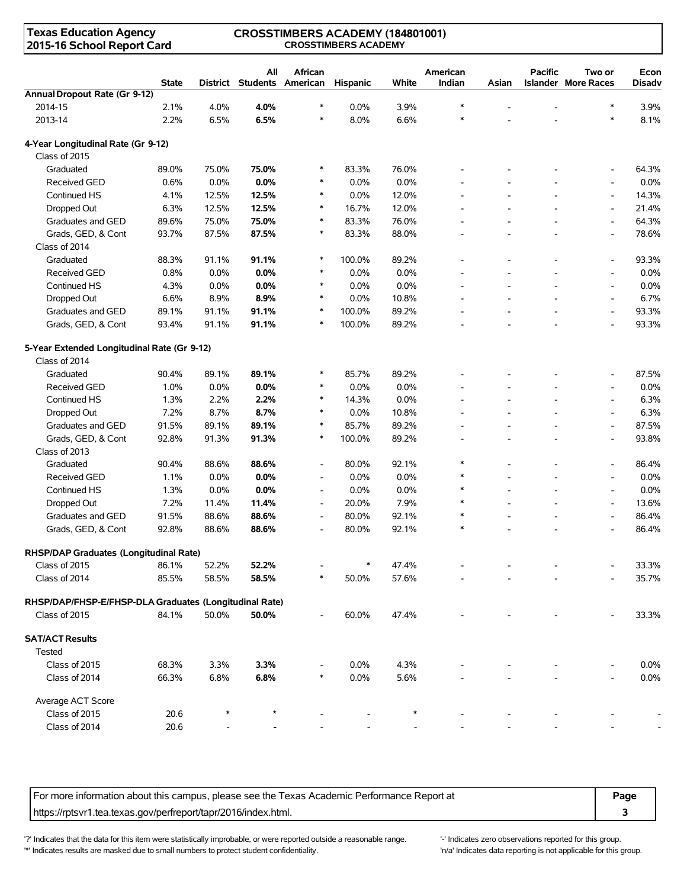## **Texas Education Agency 2015-16 School Report Card**

#### **CROSSTIMBERS ACADEMY (184801001) CROSSTIMBERS ACADEMY**

|                                                        | <b>State</b> |       | All<br>District Students American | African                  | <b>Hispanic</b> | White | American<br>Indian       | Asian                    | <b>Pacific</b>           | Two or<br><b>Islander More Races</b> | Econ<br>Disadv |
|--------------------------------------------------------|--------------|-------|-----------------------------------|--------------------------|-----------------|-------|--------------------------|--------------------------|--------------------------|--------------------------------------|----------------|
| Annual Dropout Rate (Gr 9-12)                          |              |       |                                   |                          |                 |       |                          |                          |                          |                                      |                |
| 2014-15                                                | 2.1%         | 4.0%  | 4.0%                              | $\ast$                   | 0.0%            | 3.9%  | $\ast$                   |                          | L,                       | $\ast$                               | 3.9%           |
| 2013-14                                                | 2.2%         | 6.5%  | 6.5%                              | $\ast$                   | 8.0%            | 6.6%  | $\ast$                   |                          |                          | $\ast$                               | 8.1%           |
| 4-Year Longitudinal Rate (Gr 9-12)                     |              |       |                                   |                          |                 |       |                          |                          |                          |                                      |                |
| Class of 2015                                          |              |       |                                   |                          |                 |       |                          |                          |                          |                                      |                |
| Graduated                                              | 89.0%        | 75.0% | 75.0%                             | $\ast$                   | 83.3%           | 76.0% |                          |                          |                          | $\overline{\phantom{a}}$             | 64.3%          |
| Received GED                                           | 0.6%         | 0.0%  | 0.0%                              | $\ast$                   | 0.0%            | 0.0%  |                          |                          |                          | $\overline{\phantom{a}}$             | 0.0%           |
| Continued HS                                           | 4.1%         | 12.5% | 12.5%                             | $\ast$                   | $0.0\%$         | 12.0% | $\overline{\phantom{a}}$ | $\overline{\phantom{a}}$ | $\blacksquare$           | $\overline{\phantom{a}}$             | 14.3%          |
| Dropped Out                                            | 6.3%         | 12.5% | 12.5%                             | $\ast$                   | 16.7%           | 12.0% | $\overline{\phantom{a}}$ | $\overline{\phantom{a}}$ | $\overline{\phantom{a}}$ | $\overline{\phantom{a}}$             | 21.4%          |
| Graduates and GED                                      | 89.6%        | 75.0% | 75.0%                             | $\ast$                   | 83.3%           | 76.0% | $\overline{a}$           | $\overline{a}$           | L,                       | $\blacksquare$                       | 64.3%          |
| Grads, GED, & Cont                                     | 93.7%        | 87.5% | 87.5%                             | $\ast$                   | 83.3%           | 88.0% |                          |                          |                          | $\overline{\phantom{a}}$             | 78.6%          |
| Class of 2014                                          |              |       |                                   |                          |                 |       |                          |                          |                          |                                      |                |
| Graduated                                              | 88.3%        | 91.1% | 91.1%                             | $\ast$                   | 100.0%          | 89.2% |                          | $\overline{a}$           |                          | $\overline{\phantom{a}}$             | 93.3%          |
| Received GED                                           | 0.8%         | 0.0%  | 0.0%                              | $\ast$                   | 0.0%            | 0.0%  |                          |                          |                          | $\overline{\phantom{a}}$             | 0.0%           |
| Continued HS                                           | 4.3%         | 0.0%  | 0.0%                              | $\ast$                   | 0.0%            | 0.0%  |                          | $\overline{a}$           |                          | $\overline{\phantom{a}}$             | 0.0%           |
| Dropped Out                                            | 6.6%         | 8.9%  | 8.9%                              | $\ast$                   | 0.0%            | 10.8% |                          |                          |                          | $\overline{\phantom{a}}$             | 6.7%           |
| Graduates and GED                                      | 89.1%        | 91.1% | 91.1%                             | $\ast$                   | 100.0%          | 89.2% |                          |                          |                          | $\overline{\phantom{a}}$             | 93.3%          |
| Grads, GED, & Cont                                     | 93.4%        | 91.1% | 91.1%                             | $\ast$                   | 100.0%          | 89.2% |                          | $\overline{a}$           |                          | $\overline{\phantom{a}}$             | 93.3%          |
| 5-Year Extended Longitudinal Rate (Gr 9-12)            |              |       |                                   |                          |                 |       |                          |                          |                          |                                      |                |
| Class of 2014                                          |              |       |                                   |                          |                 |       |                          |                          |                          |                                      |                |
| Graduated                                              | 90.4%        | 89.1% | 89.1%                             | $\ast$                   | 85.7%           | 89.2% |                          |                          |                          | $\overline{\phantom{a}}$             | 87.5%          |
| <b>Received GED</b>                                    | 1.0%         | 0.0%  | 0.0%                              | $\ast$                   | 0.0%            | 0.0%  |                          |                          |                          | $\overline{\phantom{a}}$             | 0.0%           |
| Continued HS                                           | 1.3%         | 2.2%  | 2.2%                              | $\ast$                   | 14.3%           | 0.0%  |                          | $\overline{a}$           |                          | $\overline{\phantom{a}}$             | 6.3%           |
| Dropped Out                                            | 7.2%         | 8.7%  | 8.7%                              | $\ast$                   | 0.0%            | 10.8% |                          | $\overline{a}$           |                          | $\overline{\phantom{a}}$             | 6.3%           |
| Graduates and GED                                      | 91.5%        | 89.1% | 89.1%                             | $\ast$                   | 85.7%           | 89.2% |                          |                          |                          | $\overline{\phantom{a}}$             | 87.5%          |
| Grads, GED, & Cont                                     | 92.8%        | 91.3% | 91.3%                             | $\ast$                   | 100.0%          | 89.2% | $\blacksquare$           | $\overline{a}$           | ÷,                       | $\overline{\phantom{a}}$             | 93.8%          |
| Class of 2013                                          |              |       |                                   |                          |                 |       |                          |                          |                          |                                      |                |
| Graduated                                              | 90.4%        | 88.6% | 88.6%                             | $\overline{\phantom{a}}$ | 80.0%           | 92.1% | $\ast$                   | $\overline{\phantom{a}}$ | $\overline{\phantom{a}}$ | $\overline{\phantom{a}}$             | 86.4%          |
| <b>Received GED</b>                                    | 1.1%         | 0.0%  | 0.0%                              | $\overline{\phantom{a}}$ | 0.0%            | 0.0%  | $\ast$                   | $\overline{\phantom{a}}$ | $\overline{\phantom{a}}$ | $\overline{\phantom{a}}$             | 0.0%           |
| Continued HS                                           | 1.3%         | 0.0%  | 0.0%                              | $\overline{\phantom{a}}$ | 0.0%            | 0.0%  | $\ast$                   | $\overline{a}$           | L,                       | $\overline{\phantom{a}}$             | 0.0%           |
| Dropped Out                                            | 7.2%         | 11.4% | 11.4%                             | $\overline{\phantom{a}}$ | 20.0%           | 7.9%  | $\ast$                   |                          |                          | $\overline{\phantom{a}}$             | 13.6%          |
| Graduates and GED                                      | 91.5%        | 88.6% | 88.6%                             | $\overline{\phantom{a}}$ | 80.0%           | 92.1% | $\ast$                   |                          |                          | $\overline{\phantom{a}}$             | 86.4%          |
| Grads, GED, & Cont                                     | 92.8%        | 88.6% | 88.6%                             | $\overline{\phantom{a}}$ | 80.0%           | 92.1% | $\ast$                   |                          |                          |                                      | 86.4%          |
|                                                        |              |       |                                   |                          |                 |       |                          |                          |                          |                                      |                |
| RHSP/DAP Graduates (Longitudinal Rate)                 |              |       |                                   |                          |                 |       |                          |                          |                          |                                      |                |
| Class of 2015                                          | 86.1%        | 52.2% | 52.2%                             |                          | $\ast$          | 47.4% |                          |                          |                          |                                      | 33.3%          |
| Class of 2014                                          | 85.5%        | 58.5% | 58.5%                             | *                        | 50.0%           | 57.6% |                          |                          |                          |                                      | 35.7%          |
| RHSP/DAP/FHSP-E/FHSP-DLA Graduates (Longitudinal Rate) |              |       |                                   |                          |                 |       |                          |                          |                          |                                      |                |
| Class of 2015                                          | 84.1%        | 50.0% | 50.0%                             |                          | 60.0%           | 47.4% |                          |                          |                          |                                      | 33.3%          |
| <b>SAT/ACT Results</b>                                 |              |       |                                   |                          |                 |       |                          |                          |                          |                                      |                |
| <b>Tested</b>                                          |              |       |                                   |                          |                 |       |                          |                          |                          |                                      |                |
| Class of 2015                                          | 68.3%        | 3.3%  | 3.3%                              |                          | 0.0%            | 4.3%  |                          |                          |                          |                                      | 0.0%           |
| Class of 2014                                          | 66.3%        | 6.8%  | 6.8%                              |                          | 0.0%            | 5.6%  |                          |                          |                          |                                      | 0.0%           |
| Average ACT Score                                      |              |       |                                   |                          |                 |       |                          |                          |                          |                                      |                |
| Class of 2015                                          | 20.6         |       |                                   |                          |                 |       |                          |                          |                          |                                      |                |
| Class of 2014                                          | 20.6         |       |                                   |                          |                 |       |                          |                          |                          |                                      |                |

For more information about this campus, please see the Texas Academic Performance Report at **Page** https://rptsvr1.tea.texas.gov/perfreport/tapr/2016/index.html. **3**

'?' Indicates that the data for this item were statistically improbable, or were reported outside a reasonable range. '' Indicates zero observations reported for this group. '\*' Indicates results are masked due to small numbers to protect student confidentiality. Moreover the student confidentiality is not applicable for this group.